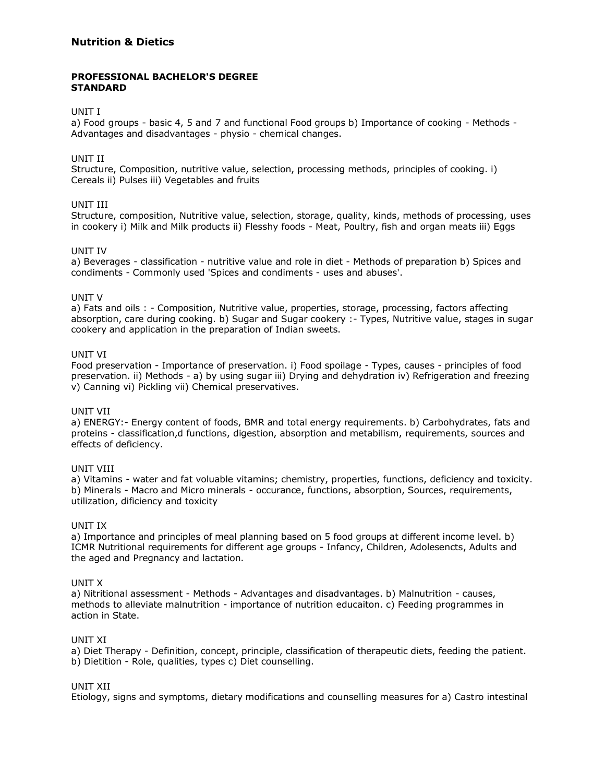# **Nutrition & Dietics**

## **PROFESSIONAL BACHELOR'S DEGREE STANDARD**

### UNIT I

a) Food groups - basic 4, 5 and 7 and functional Food groups b) Importance of cooking - Methods - Advantages and disadvantages - physio - chemical changes.

## UNIT II

Structure, Composition, nutritive value, selection, processing methods, principles of cooking. i) Cereals ii) Pulses iii) Vegetables and fruits

#### UNIT III

Structure, composition, Nutritive value, selection, storage, quality, kinds, methods of processing, uses in cookery i) Milk and Milk products ii) Flesshy foods - Meat, Poultry, fish and organ meats iii) Eggs

#### UNIT IV

a) Beverages - classification - nutritive value and role in diet - Methods of preparation b) Spices and condiments - Commonly used 'Spices and condiments - uses and abuses'.

#### UNIT V

a) Fats and oils : - Composition, Nutritive value, properties, storage, processing, factors affecting absorption, care during cooking. b) Sugar and Sugar cookery :- Types, Nutritive value, stages in sugar cookery and application in the preparation of Indian sweets.

## UNIT VI

Food preservation - Importance of preservation. i) Food spoilage - Types, causes - principles of food preservation. ii) Methods - a) by using sugar iii) Drying and dehydration iv) Refrigeration and freezing v) Canning vi) Pickling vii) Chemical preservatives.

#### UNIT VII

a) ENERGY:- Energy content of foods, BMR and total energy requirements. b) Carbohydrates, fats and proteins - classification,d functions, digestion, absorption and metabilism, requirements, sources and effects of deficiency.

#### UNIT VIII

a) Vitamins - water and fat voluable vitamins; chemistry, properties, functions, deficiency and toxicity. b) Minerals - Macro and Micro minerals - occurance, functions, absorption, Sources, requirements, utilization, dificiency and toxicity

#### UNIT IX

a) Importance and principles of meal planning based on 5 food groups at different income level. b) ICMR Nutritional requirements for different age groups - Infancy, Children, Adolesencts, Adults and the aged and Pregnancy and lactation.

#### UNIT X

a) Nitritional assessment - Methods - Advantages and disadvantages. b) Malnutrition - causes, methods to alleviate malnutrition - importance of nutrition educaiton. c) Feeding programmes in action in State.

#### UNIT XI

a) Diet Therapy - Definition, concept, principle, classification of therapeutic diets, feeding the patient. b) Dietition - Role, qualities, types c) Diet counselling.

## UNIT XII

Etiology, signs and symptoms, dietary modifications and counselling measures for a) Castro intestinal